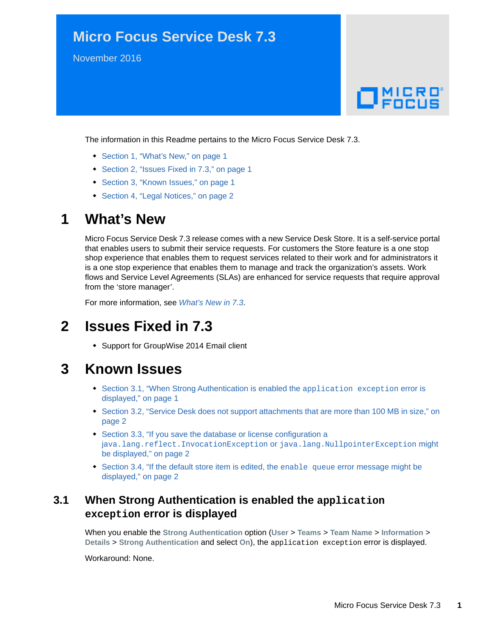## **Micro Focus Service Desk 7.3**

November 2016

# $\Box$ MICRO'

The information in this Readme pertains to the Micro Focus Service Desk 7.3.

- [Section 1, "What's New," on page 1](#page-0-0)
- [Section 2, "Issues Fixed in 7.3," on page 1](#page-0-1)
- [Section 3, "Known Issues," on page 1](#page-0-2)
- [Section 4, "Legal Notices," on page 2](#page-1-1)

### <span id="page-0-0"></span>**1 What's New**

Micro Focus Service Desk 7.3 release comes with a new Service Desk Store. It is a self-service portal that enables users to submit their service requests. For customers the Store feature is a one stop shop experience that enables them to request services related to their work and for administrators it is a one stop experience that enables them to manage and track the organization's assets. Work flows and Service Level Agreements (SLAs) are enhanced for service requests that require approval from the 'store manager'.

For more information, see *[What's New in 7.3](https://www.novell.com/documentation/beta/servicedesk-73/service_desk_whats_new/data/service_desk_whats_new.html)*.

## <span id="page-0-1"></span>**2 Issues Fixed in 7.3**

Support for GroupWise 2014 Email client

## <span id="page-0-2"></span>**3 Known Issues**

- [Section 3.1, "When Strong Authentication is enabled the](#page-0-3) application exception error is [displayed," on page 1](#page-0-3)
- Section 3.2, "Service Desk does not support attachments that are more than 100 MB in size," on [page 2](#page-1-0)
- [Section 3.3, "If you save the database or license configuration a](#page-1-2)  j[ava.lang.reflect.InvocationException](#page-1-2) or java.lang.NullpointerException might [be displayed," on page 2](#page-1-2)
- [Section 3.4, "If the default store item is edited, the](#page-1-3) enable queue error message might be [displayed," on page 2](#page-1-3)

#### <span id="page-0-3"></span>**3.1 When Strong Authentication is enabled the application exception error is displayed**

When you enable the **Strong Authentication** option (**User** > **Teams** > **Team Name** > **Information** > **Details** > **Strong Authentication** and select **On**), the application exception error is displayed.

Workaround: None.